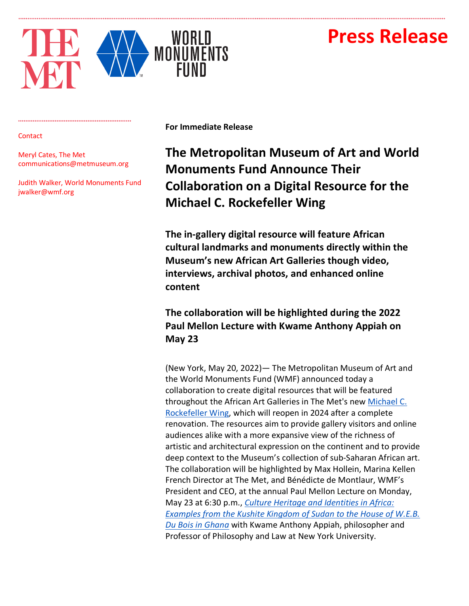# **Press Release**



#### **Contact**

Meryl Cates, The Met communications@metmuseum.org

Judith Walker, World Monuments Fund jwalker@wmf.org

**For Immediate Release**

## **The Metropolitan Museum of Art and World Monuments Fund Announce Their Collaboration on a Digital Resource for the Michael C. Rockefeller Wing**

**The in-gallery digital resource will feature African cultural landmarks and monuments directly within the Museum's new African Art Galleries though video, interviews, archival photos, and enhanced online content** 

## **The collaboration will be highlighted during the 2022 Paul Mellon Lecture with Kwame Anthony Appiah on May 23**

(New York, May 20, 2022)— The Metropolitan Museum of Art and the World Monuments Fund (WMF) announced today a collaboration to create digital resources that will be featured throughout the African Art Galleries in The Met's new Michael C. Rockefeller Wing, which will reopen in 2024 after a complete renovation. The resources aim to provide gallery visitors and online audiences alike with a more expansive view of the richness of artistic and architectural expression on the continent and to provide deep context to the Museum's collection of sub-Saharan African art. The collaboration will be highlighted by Max Hollein, Marina Kellen French Director at The Met, and Bénédicte de Montlaur, WMF's President and CEO, at the annual Paul Mellon Lecture on Monday, May 23 at 6:30 p.m., *Culture Heritage and Identities in Africa: Examples from the Kushite Kingdom of Sudan to the House of W.E.B. Du Bois in Ghana* with Kwame Anthony Appiah, philosopher and Professor of Philosophy and Law at New York University.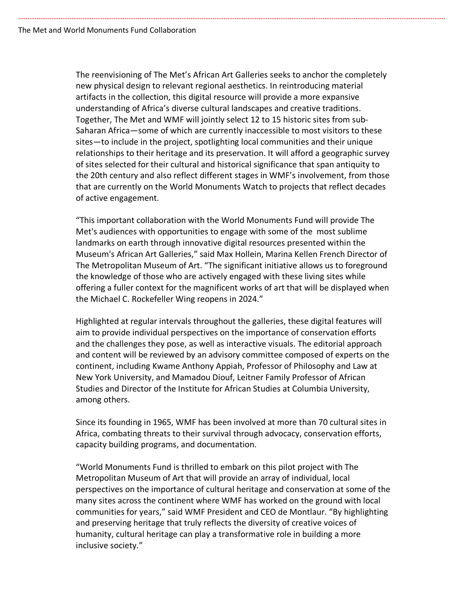The reenvisioning of The Met's African Art Galleries seeks to anchor the completely new physical design to relevant regional aesthetics. In reintroducing material artifacts in the collection, this digital resource will provide a more expansive understanding of Africa's diverse cultural landscapes and creative traditions. Together, The Met and WMF will jointly select 12 to 15 historic sites from sub-Saharan Africa—some of which are currently inaccessible to most visitors to these sites—to include in the project, spotlighting local communities and their unique relationships to their heritage and its preservation. It will afford a geographic survey of sites selected for their cultural and historical significance that span antiquity to the 20th century and also reflect different stages in WMF's involvement, from those that are currently on the World Monuments Watch to projects that reflect decades of active engagement.

"This important collaboration with the World Monuments Fund will provide The Met's audiences with opportunities to engage with some of the most sublime landmarks on earth through innovative digital resources presented within the Museum's African Art Galleries," said Max Hollein, Marina Kellen French Director of The Metropolitan Museum of Art. "The significant initiative allows us to foreground the knowledge of those who are actively engaged with these living sites while offering a fuller context for the magnificent works of art that will be displayed when the Michael C. Rockefeller Wing reopens in 2024."

Highlighted at regular intervals throughout the galleries, these digital features will aim to provide individual perspectives on the importance of conservation efforts and the challenges they pose, as well as interactive visuals. The editorial approach and content will be reviewed by an advisory committee composed of experts on the continent, including Kwame Anthony Appiah, Professor of Philosophy and Law at New York University, and Mamadou Diouf, Leitner Family Professor of African Studies and Director of the Institute for African Studies at Columbia University, among others.

Since its founding in 1965, WMF has been involved at more than 70 cultural sites in Africa, combating threats to their survival through advocacy, conservation efforts, capacity building programs, and documentation.

"World Monuments Fund is thrilled to embark on this pilot project with The Metropolitan Museum of Art that will provide an array of individual, local perspectives on the importance of cultural heritage and conservation at some of the many sites across the continent where WMF has worked on the ground with local communities for years," said WMF President and CEO de Montlaur. "By highlighting and preserving heritage that truly reflects the diversity of creative voices of humanity, cultural heritage can play a transformative role in building a more inclusive society."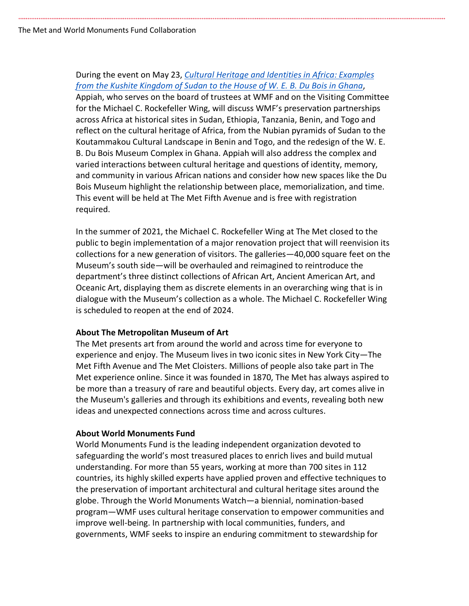## During the event on May 23, *Cultural Heritage and Identities in Africa: Examples from the Kushite Kingdom of Sudan to the House of W. E. B. Du Bois in Ghana*,

Appiah, who serves on the board of trustees at WMF and on the Visiting Committee for the Michael C. Rockefeller Wing, will discuss WMF's preservation partnerships across Africa at historical sites in Sudan, Ethiopia, Tanzania, Benin, and Togo and reflect on the cultural heritage of Africa, from the Nubian pyramids of Sudan to the Koutammakou Cultural Landscape in Benin and Togo, and the redesign of the W. E. B. Du Bois Museum Complex in Ghana. Appiah will also address the complex and varied interactions between cultural heritage and questions of identity, memory, and community in various African nations and consider how new spaces like the Du Bois Museum highlight the relationship between place, memorialization, and time. This event will be held at The Met Fifth Avenue and is free with registration required.

In the summer of 2021, the Michael C. Rockefeller Wing at The Met closed to the public to begin implementation of a major renovation project that will reenvision its collections for a new generation of visitors. The galleries—40,000 square feet on the Museum's south side—will be overhauled and reimagined to reintroduce the department's three distinct collections of African Art, Ancient American Art, and Oceanic Art, displaying them as discrete elements in an overarching wing that is in dialogue with the Museum's collection as a whole. The Michael C. Rockefeller Wing is scheduled to reopen at the end of 2024.

## **About The Metropolitan Museum of Art**

The Met presents art from around the world and across time for everyone to experience and enjoy. The Museum lives in two iconic sites in New York City—The Met Fifth Avenue and The Met Cloisters. Millions of people also take part in The Met experience online. Since it was founded in 1870, The Met has always aspired to be more than a treasury of rare and beautiful objects. Every day, art comes alive in the Museum's galleries and through its exhibitions and events, revealing both new ideas and unexpected connections across time and across cultures.

### **About World Monuments Fund**

World Monuments Fund is the leading independent organization devoted to safeguarding the world's most treasured places to enrich lives and build mutual understanding. For more than 55 years, working at more than 700 sites in 112 countries, its highly skilled experts have applied proven and effective techniques to the preservation of important architectural and cultural heritage sites around the globe. Through the World Monuments Watch—a biennial, nomination-based program—WMF uses cultural heritage conservation to empower communities and improve well-being. In partnership with local communities, funders, and governments, WMF seeks to inspire an enduring commitment to stewardship for